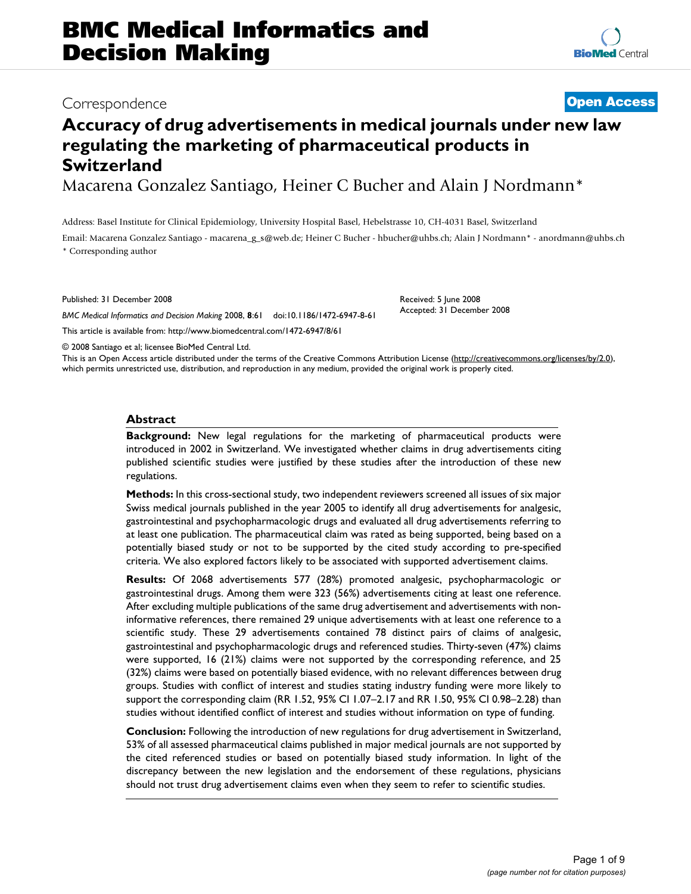# Correspondence **[Open Access](http://www.biomedcentral.com/info/about/charter/)**

# **Accuracy of drug advertisements in medical journals under new law regulating the marketing of pharmaceutical products in Switzerland**

Macarena Gonzalez Santiago, Heiner C Bucher and Alain J Nordmann\*

Address: Basel Institute for Clinical Epidemiology, University Hospital Basel, Hebelstrasse 10, CH-4031 Basel, Switzerland

Email: Macarena Gonzalez Santiago - macarena\_g\_s@web.de; Heiner C Bucher - hbucher@uhbs.ch; Alain J Nordmann\* - anordmann@uhbs.ch \* Corresponding author

Published: 31 December 2008

*BMC Medical Informatics and Decision Making* 2008, **8**:61 doi:10.1186/1472-6947-8-61

[This article is available from: http://www.biomedcentral.com/1472-6947/8/61](http://www.biomedcentral.com/1472-6947/8/61)

© 2008 Santiago et al; licensee BioMed Central Ltd.

This is an Open Access article distributed under the terms of the Creative Commons Attribution License [\(http://creativecommons.org/licenses/by/2.0\)](http://creativecommons.org/licenses/by/2.0), which permits unrestricted use, distribution, and reproduction in any medium, provided the original work is properly cited.

#### **Abstract**

**Background:** New legal regulations for the marketing of pharmaceutical products were introduced in 2002 in Switzerland. We investigated whether claims in drug advertisements citing published scientific studies were justified by these studies after the introduction of these new regulations.

**Methods:** In this cross-sectional study, two independent reviewers screened all issues of six major Swiss medical journals published in the year 2005 to identify all drug advertisements for analgesic, gastrointestinal and psychopharmacologic drugs and evaluated all drug advertisements referring to at least one publication. The pharmaceutical claim was rated as being supported, being based on a potentially biased study or not to be supported by the cited study according to pre-specified criteria. We also explored factors likely to be associated with supported advertisement claims.

**Results:** Of 2068 advertisements 577 (28%) promoted analgesic, psychopharmacologic or gastrointestinal drugs. Among them were 323 (56%) advertisements citing at least one reference. After excluding multiple publications of the same drug advertisement and advertisements with noninformative references, there remained 29 unique advertisements with at least one reference to a scientific study. These 29 advertisements contained 78 distinct pairs of claims of analgesic, gastrointestinal and psychopharmacologic drugs and referenced studies. Thirty-seven (47%) claims were supported, 16 (21%) claims were not supported by the corresponding reference, and 25 (32%) claims were based on potentially biased evidence, with no relevant differences between drug groups. Studies with conflict of interest and studies stating industry funding were more likely to support the corresponding claim (RR 1.52, 95% CI 1.07–2.17 and RR 1.50, 95% CI 0.98–2.28) than studies without identified conflict of interest and studies without information on type of funding.

**Conclusion:** Following the introduction of new regulations for drug advertisement in Switzerland, 53% of all assessed pharmaceutical claims published in major medical journals are not supported by the cited referenced studies or based on potentially biased study information. In light of the discrepancy between the new legislation and the endorsement of these regulations, physicians should not trust drug advertisement claims even when they seem to refer to scientific studies.

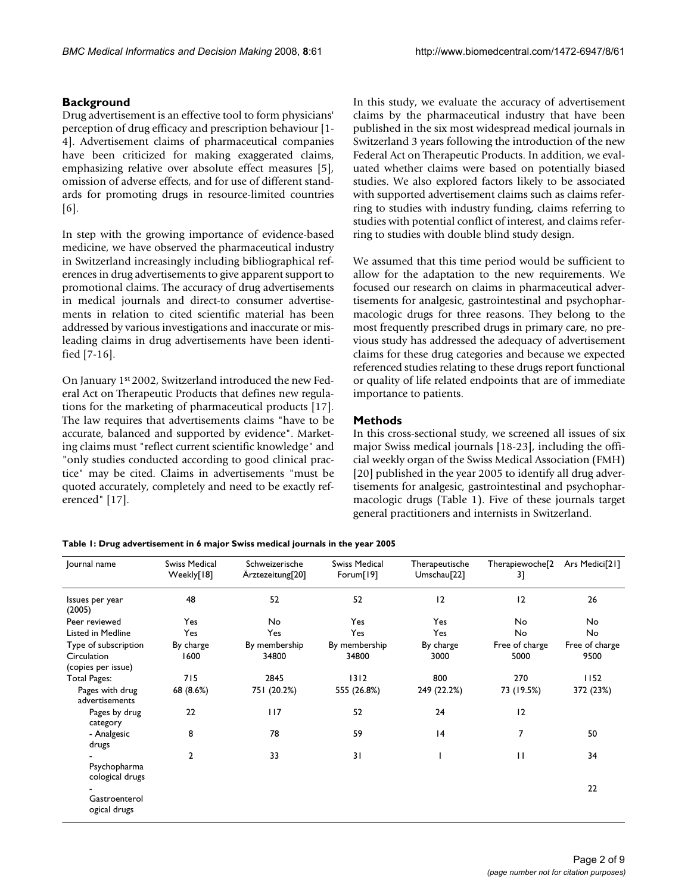# **Background**

Drug advertisement is an effective tool to form physicians' perception of drug efficacy and prescription behaviour [1- 4]. Advertisement claims of pharmaceutical companies have been criticized for making exaggerated claims, emphasizing relative over absolute effect measures [5], omission of adverse effects, and for use of different standards for promoting drugs in resource-limited countries [6].

In step with the growing importance of evidence-based medicine, we have observed the pharmaceutical industry in Switzerland increasingly including bibliographical references in drug advertisements to give apparent support to promotional claims. The accuracy of drug advertisements in medical journals and direct-to consumer advertisements in relation to cited scientific material has been addressed by various investigations and inaccurate or misleading claims in drug advertisements have been identified [7-16].

On January 1st 2002, Switzerland introduced the new Federal Act on Therapeutic Products that defines new regulations for the marketing of pharmaceutical products [17]. The law requires that advertisements claims "have to be accurate, balanced and supported by evidence". Marketing claims must "reflect current scientific knowledge" and "only studies conducted according to good clinical practice" may be cited. Claims in advertisements "must be quoted accurately, completely and need to be exactly referenced" [17].

In this study, we evaluate the accuracy of advertisement claims by the pharmaceutical industry that have been published in the six most widespread medical journals in Switzerland 3 years following the introduction of the new Federal Act on Therapeutic Products. In addition, we evaluated whether claims were based on potentially biased studies. We also explored factors likely to be associated with supported advertisement claims such as claims referring to studies with industry funding, claims referring to studies with potential conflict of interest, and claims referring to studies with double blind study design.

We assumed that this time period would be sufficient to allow for the adaptation to the new requirements. We focused our research on claims in pharmaceutical advertisements for analgesic, gastrointestinal and psychopharmacologic drugs for three reasons. They belong to the most frequently prescribed drugs in primary care, no previous study has addressed the adequacy of advertisement claims for these drug categories and because we expected referenced studies relating to these drugs report functional or quality of life related endpoints that are of immediate importance to patients.

# **Methods**

In this cross-sectional study, we screened all issues of six major Swiss medical journals [18-23], including the official weekly organ of the Swiss Medical Association (FMH) [20] published in the year 2005 to identify all drug advertisements for analgesic, gastrointestinal and psychopharmacologic drugs (Table 1). Five of these journals target general practitioners and internists in Switzerland.

#### **Table 1: Drug advertisement in 6 major Swiss medical journals in the year 2005**

| Journal name                                              | <b>Swiss Medical</b><br>Weekly[18] | Schweizerische<br>Arztezeitung[20] | <b>Swiss Medical</b><br>Forum[19] | Therapeutische<br>Umschau <sup>[22]</sup> | Therapiewoche <sup>[2]</sup><br>31 | Ars Medici <sup>[21]</sup> |
|-----------------------------------------------------------|------------------------------------|------------------------------------|-----------------------------------|-------------------------------------------|------------------------------------|----------------------------|
| Issues per year<br>(2005)                                 | 48                                 | 52                                 | 52                                | 12                                        | 12                                 | 26                         |
| Peer reviewed                                             | Yes                                | No                                 | Yes                               | Yes                                       | No                                 | No                         |
| <b>Listed in Medline</b>                                  | Yes                                | Yes                                | Yes                               | Yes                                       | No                                 | No                         |
| Type of subscription<br>Circulation<br>(copies per issue) | By charge<br>1600                  | By membership<br>34800             | By membership<br>34800            | By charge<br>3000                         | Free of charge<br>5000             | Free of charge<br>9500     |
| Total Pages:                                              | 715                                | 2845                               | 1312                              | 800                                       | 270                                | 1152                       |
| Pages with drug<br>advertisements                         | 68 (8.6%)                          | 751 (20.2%)                        | 555 (26.8%)                       | 249 (22.2%)                               | 73 (19.5%)                         | 372 (23%)                  |
| Pages by drug<br>category                                 | 22                                 | 117                                | 52                                | 24                                        | 12                                 |                            |
| - Analgesic<br>drugs                                      | 8                                  | 78                                 | 59                                | 4                                         | 7                                  | 50                         |
| Psychopharma<br>cological drugs                           | 2                                  | 33                                 | 31                                |                                           | $\mathbf{H}$                       | 34                         |
| Gastroenterol<br>ogical drugs                             |                                    |                                    |                                   |                                           |                                    | 22                         |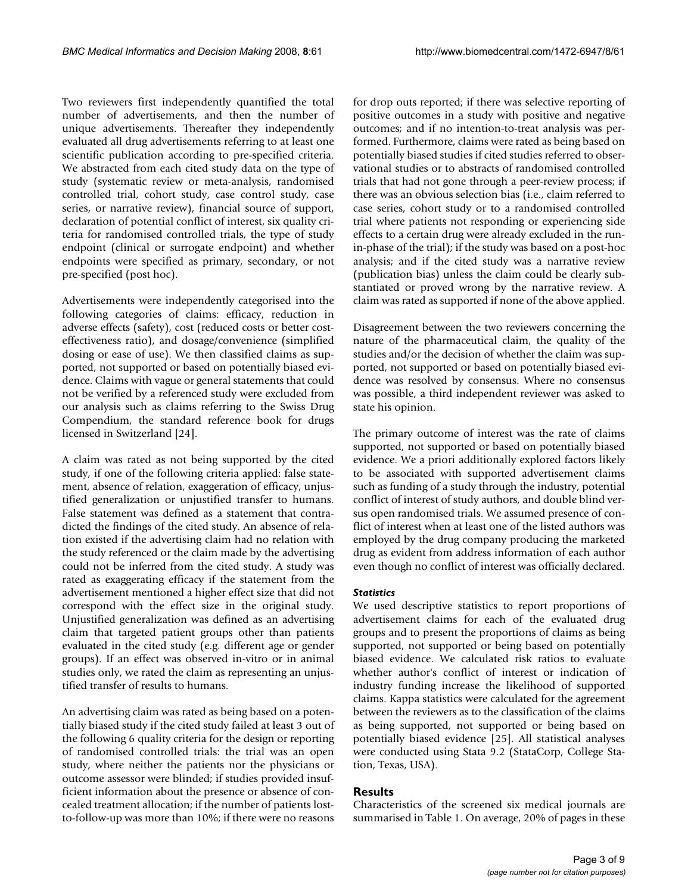Two reviewers first independently quantified the total number of advertisements, and then the number of unique advertisements. Thereafter they independently evaluated all drug advertisements referring to at least one scientific publication according to pre-specified criteria. We abstracted from each cited study data on the type of study (systematic review or meta-analysis, randomised controlled trial, cohort study, case control study, case series, or narrative review), financial source of support, declaration of potential conflict of interest, six quality criteria for randomised controlled trials, the type of study endpoint (clinical or surrogate endpoint) and whether endpoints were specified as primary, secondary, or not pre-specified (post hoc).

Advertisements were independently categorised into the following categories of claims: efficacy, reduction in adverse effects (safety), cost (reduced costs or better costeffectiveness ratio), and dosage/convenience (simplified dosing or ease of use). We then classified claims as supported, not supported or based on potentially biased evidence. Claims with vague or general statements that could not be verified by a referenced study were excluded from our analysis such as claims referring to the Swiss Drug Compendium, the standard reference book for drugs licensed in Switzerland [24].

A claim was rated as not being supported by the cited study, if one of the following criteria applied: false statement, absence of relation, exaggeration of efficacy, unjustified generalization or unjustified transfer to humans. False statement was defined as a statement that contradicted the findings of the cited study. An absence of relation existed if the advertising claim had no relation with the study referenced or the claim made by the advertising could not be inferred from the cited study. A study was rated as exaggerating efficacy if the statement from the advertisement mentioned a higher effect size that did not correspond with the effect size in the original study. Unjustified generalization was defined as an advertising claim that targeted patient groups other than patients evaluated in the cited study (e.g. different age or gender groups). If an effect was observed in-vitro or in animal studies only, we rated the claim as representing an unjustified transfer of results to humans.

An advertising claim was rated as being based on a potentially biased study if the cited study failed at least 3 out of the following 6 quality criteria for the design or reporting of randomised controlled trials: the trial was an open study, where neither the patients nor the physicians or outcome assessor were blinded; if studies provided insufficient information about the presence or absence of concealed treatment allocation; if the number of patients lostto-follow-up was more than 10%; if there were no reasons for drop outs reported; if there was selective reporting of positive outcomes in a study with positive and negative outcomes; and if no intention-to-treat analysis was performed. Furthermore, claims were rated as being based on potentially biased studies if cited studies referred to observational studies or to abstracts of randomised controlled trials that had not gone through a peer-review process; if there was an obvious selection bias (i.e., claim referred to case series, cohort study or to a randomised controlled trial where patients not responding or experiencing side effects to a certain drug were already excluded in the runin-phase of the trial); if the study was based on a post-hoc analysis; and if the cited study was a narrative review (publication bias) unless the claim could be clearly substantiated or proved wrong by the narrative review. A claim was rated as supported if none of the above applied.

Disagreement between the two reviewers concerning the nature of the pharmaceutical claim, the quality of the studies and/or the decision of whether the claim was supported, not supported or based on potentially biased evidence was resolved by consensus. Where no consensus was possible, a third independent reviewer was asked to state his opinion.

The primary outcome of interest was the rate of claims supported, not supported or based on potentially biased evidence. We a priori additionally explored factors likely to be associated with supported advertisement claims such as funding of a study through the industry, potential conflict of interest of study authors, and double blind versus open randomised trials. We assumed presence of conflict of interest when at least one of the listed authors was employed by the drug company producing the marketed drug as evident from address information of each author even though no conflict of interest was officially declared.

# *Statistics*

We used descriptive statistics to report proportions of advertisement claims for each of the evaluated drug groups and to present the proportions of claims as being supported, not supported or being based on potentially biased evidence. We calculated risk ratios to evaluate whether author's conflict of interest or indication of industry funding increase the likelihood of supported claims. Kappa statistics were calculated for the agreement between the reviewers as to the classification of the claims as being supported, not supported or being based on potentially biased evidence [25]. All statistical analyses were conducted using Stata 9.2 (StataCorp, College Station, Texas, USA).

# **Results**

Characteristics of the screened six medical journals are summarised in Table 1. On average, 20% of pages in these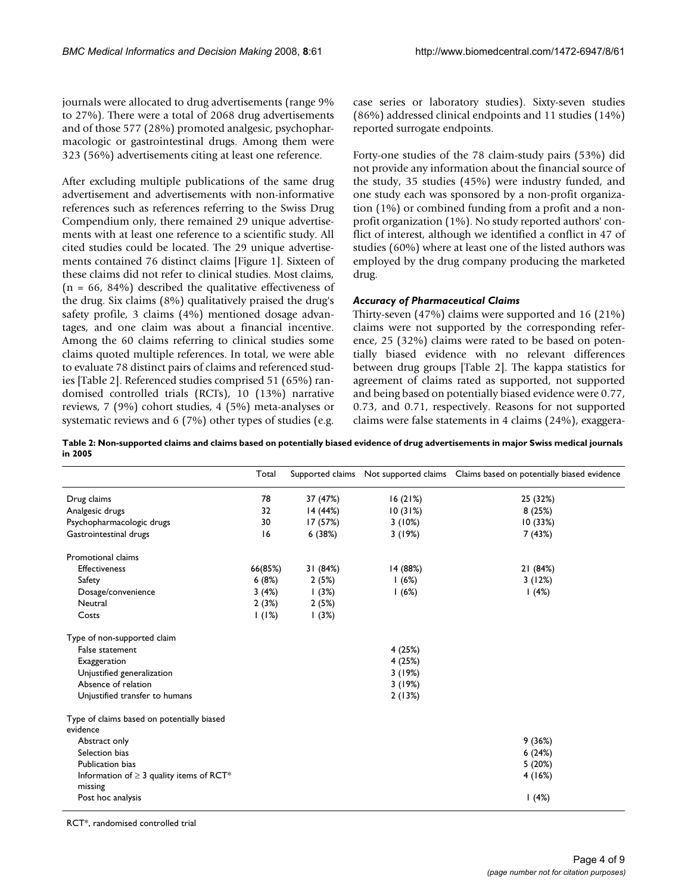journals were allocated to drug advertisements (range 9% to 27%). There were a total of 2068 drug advertisements and of those 577 (28%) promoted analgesic, psychopharmacologic or gastrointestinal drugs. Among them were 323 (56%) advertisements citing at least one reference.

After excluding multiple publications of the same drug advertisement and advertisements with non-informative references such as references referring to the Swiss Drug Compendium only, there remained 29 unique advertisements with at least one reference to a scientific study. All cited studies could be located. The 29 unique advertisements contained 76 distinct claims [Figure 1]. Sixteen of these claims did not refer to clinical studies. Most claims,  $(n = 66, 84%)$  described the qualitative effectiveness of the drug. Six claims (8%) qualitatively praised the drug's safety profile, 3 claims (4%) mentioned dosage advantages, and one claim was about a financial incentive. Among the 60 claims referring to clinical studies some claims quoted multiple references. In total, we were able to evaluate 78 distinct pairs of claims and referenced studies [Table 2]. Referenced studies comprised 51 (65%) randomised controlled trials (RCTs), 10 (13%) narrative reviews, 7 (9%) cohort studies, 4 (5%) meta-analyses or systematic reviews and 6 (7%) other types of studies (e.g.

case series or laboratory studies). Sixty-seven studies (86%) addressed clinical endpoints and 11 studies (14%) reported surrogate endpoints.

Forty-one studies of the 78 claim-study pairs (53%) did not provide any information about the financial source of the study, 35 studies (45%) were industry funded, and one study each was sponsored by a non-profit organization (1%) or combined funding from a profit and a nonprofit organization (1%). No study reported authors' conflict of interest, although we identified a conflict in 47 of studies (60%) where at least one of the listed authors was employed by the drug company producing the marketed drug.

#### *Accuracy of Pharmaceutical Claims*

Thirty-seven (47%) claims were supported and 16 (21%) claims were not supported by the corresponding reference, 25 (32%) claims were rated to be based on potentially biased evidence with no relevant differences between drug groups [Table 2]. The kappa statistics for agreement of claims rated as supported, not supported and being based on potentially biased evidence were 0.77, 0.73, and 0.71, respectively. Reasons for not supported claims were false statements in 4 claims (24%), exaggera-

**Table 2: Non-supported claims and claims based on potentially biased evidence of drug advertisements in major Swiss medical journals in 2005**

|                                                          | Total   |          |          | Supported claims  Not supported claims  Claims based on potentially biased evidence |
|----------------------------------------------------------|---------|----------|----------|-------------------------------------------------------------------------------------|
| Drug claims                                              | 78      | 37 (47%) | 16(21%)  | 25 (32%)                                                                            |
| Analgesic drugs                                          | 32      | 14 (44%) | 10(31%)  | 8(25%)                                                                              |
| Psychopharmacologic drugs                                | 30      | 17 (57%) | 3(10%)   | 10(33%)                                                                             |
| Gastrointestinal drugs                                   | 16      | 6(38%)   | 3(19%)   | 7 (43%)                                                                             |
| Promotional claims                                       |         |          |          |                                                                                     |
| <b>Effectiveness</b>                                     | 66(85%) | 31 (84%) | 14 (88%) | 21 (84%)                                                                            |
| Safety                                                   | 6(8%)   | 2(5%)    | 1(6%)    | 3(12%)                                                                              |
| Dosage/convenience                                       | 3(4%)   | 1(3%)    | 1(6%)    | 1(4%)                                                                               |
| Neutral                                                  | 2(3%)   | 2(5%)    |          |                                                                                     |
| Costs                                                    | 1(1%)   | 1(3%)    |          |                                                                                     |
| Type of non-supported claim                              |         |          |          |                                                                                     |
| False statement                                          |         |          | 4(25%)   |                                                                                     |
| Exaggeration                                             |         |          | 4 (25%)  |                                                                                     |
| Unjustified generalization                               |         |          | 3(19%)   |                                                                                     |
| Absence of relation                                      |         |          | 3(19%)   |                                                                                     |
| Unjustified transfer to humans                           |         |          | 2(13%)   |                                                                                     |
| Type of claims based on potentially biased               |         |          |          |                                                                                     |
| evidence                                                 |         |          |          |                                                                                     |
| Abstract only                                            |         |          |          | 9(36%)                                                                              |
| Selection bias                                           |         |          |          | 6(24%)                                                                              |
| Publication bias                                         |         |          |          | 5(20%)                                                                              |
| Information of $\geq 3$ quality items of RCT*<br>missing |         |          |          | 4(16%)                                                                              |
| Post hoc analysis                                        |         |          |          | 1(4%)                                                                               |

RCT\*, randomised controlled trial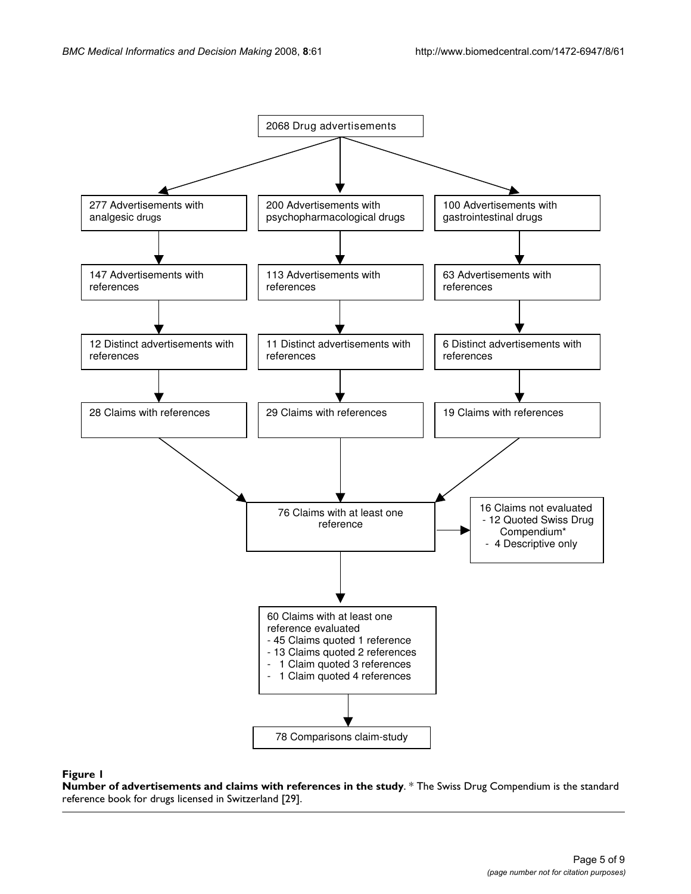

#### Figure 1

**Number of advertisements and claims with references in the study**. \* The Swiss Drug Compendium is the standard reference book for drugs licensed in Switzerland [29].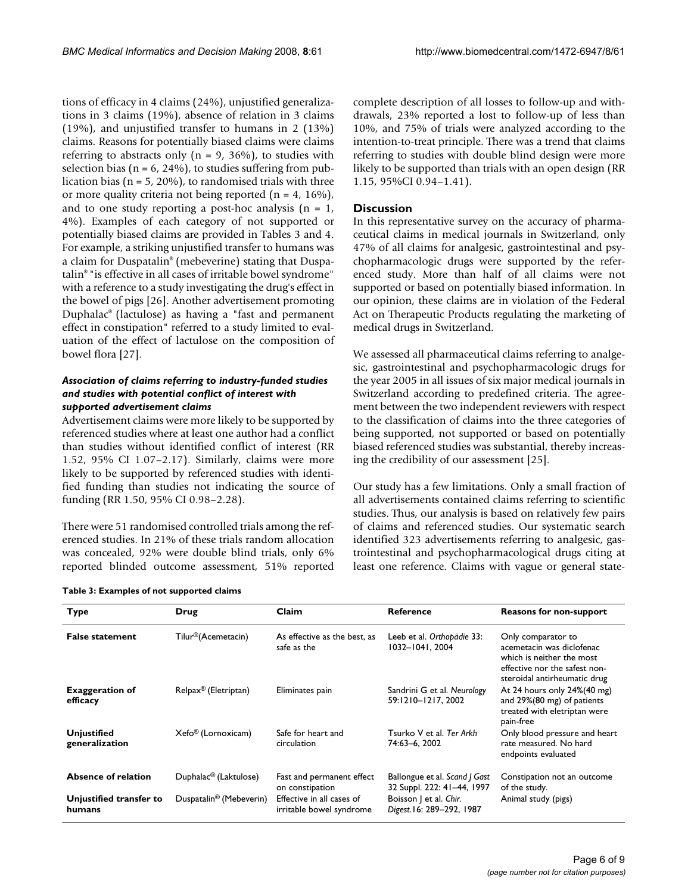tions of efficacy in 4 claims (24%), unjustified generalizations in 3 claims (19%), absence of relation in 3 claims (19%), and unjustified transfer to humans in 2 (13%) claims. Reasons for potentially biased claims were claims referring to abstracts only ( $n = 9$ , 36%), to studies with selection bias ( $n = 6$ , 24%), to studies suffering from publication bias ( $n = 5$ , 20%), to randomised trials with three or more quality criteria not being reported  $(n = 4, 16\%)$ , and to one study reporting a post-hoc analysis  $(n = 1,$ 4%). Examples of each category of not supported or potentially biased claims are provided in Tables 3 and 4. For example, a striking unjustified transfer to humans was a claim for Duspatalin® (mebeverine) stating that Duspatalin® "is effective in all cases of irritable bowel syndrome" with a reference to a study investigating the drug's effect in the bowel of pigs [26]. Another advertisement promoting Duphalac® (lactulose) as having a "fast and permanent effect in constipation" referred to a study limited to evaluation of the effect of lactulose on the composition of bowel flora [27].

#### *Association of claims referring to industry-funded studies and studies with potential conflict of interest with supported advertisement claims*

Advertisement claims were more likely to be supported by referenced studies where at least one author had a conflict than studies without identified conflict of interest (RR 1.52, 95% CI 1.07–2.17). Similarly, claims were more likely to be supported by referenced studies with identified funding than studies not indicating the source of funding (RR 1.50, 95% CI 0.98–2.28).

There were 51 randomised controlled trials among the referenced studies. In 21% of these trials random allocation was concealed, 92% were double blind trials, only 6% reported blinded outcome assessment, 51% reported complete description of all losses to follow-up and withdrawals, 23% reported a lost to follow-up of less than 10%, and 75% of trials were analyzed according to the intention-to-treat principle. There was a trend that claims referring to studies with double blind design were more likely to be supported than trials with an open design (RR 1.15, 95%CI 0.94–1.41).

# **Discussion**

In this representative survey on the accuracy of pharmaceutical claims in medical journals in Switzerland, only 47% of all claims for analgesic, gastrointestinal and psychopharmacologic drugs were supported by the referenced study. More than half of all claims were not supported or based on potentially biased information. In our opinion, these claims are in violation of the Federal Act on Therapeutic Products regulating the marketing of medical drugs in Switzerland.

We assessed all pharmaceutical claims referring to analgesic, gastrointestinal and psychopharmacologic drugs for the year 2005 in all issues of six major medical journals in Switzerland according to predefined criteria. The agreement between the two independent reviewers with respect to the classification of claims into the three categories of being supported, not supported or based on potentially biased referenced studies was substantial, thereby increasing the credibility of our assessment [25].

Our study has a few limitations. Only a small fraction of all advertisements contained claims referring to scientific studies. Thus, our analysis is based on relatively few pairs of claims and referenced studies. Our systematic search identified 323 advertisements referring to analgesic, gastrointestinal and psychopharmacological drugs citing at least one reference. Claims with vague or general state-

| Type                                 | Drug                                | Claim                                                 | <b>Reference</b>                                            | Reasons for non-support                                                                                                                       |
|--------------------------------------|-------------------------------------|-------------------------------------------------------|-------------------------------------------------------------|-----------------------------------------------------------------------------------------------------------------------------------------------|
| <b>False statement</b>               | Tilur <sup>®</sup> (Acemetacin)     | As effective as the best, as<br>safe as the           | Leeb et al. Orthopädie 33:<br>1032-1041, 2004               | Only comparator to<br>acemetacin was diclofenac<br>which is neither the most<br>effective nor the safest non-<br>steroidal antirheumatic drug |
| <b>Exaggeration of</b><br>efficacy   | Relpax <sup>®</sup> (Eletriptan)    | Eliminates pain                                       | Sandrini G et al. Neurology<br>59:1210-1217, 2002           | At 24 hours only 24%(40 mg)<br>and 29%(80 mg) of patients<br>treated with eletriptan were<br>pain-free                                        |
| <b>Unjustified</b><br>generalization | $Xefo(6)$ (Lornoxicam)              | Safe for heart and<br>circulation                     | Tsurko V et al. Ter Arkh<br>74:63-6, 2002                   | Only blood pressure and heart<br>rate measured. No hard<br>endpoints evaluated                                                                |
| <b>Absence of relation</b>           | Duphalac <sup>®</sup> (Laktulose)   | Fast and permanent effect<br>on constipation          | Ballongue et al. Scand   Gast<br>32 Suppl. 222: 41-44, 1997 | Constipation not an outcome<br>of the study.                                                                                                  |
| Unjustified transfer to<br>humans    | Duspatalin <sup>®</sup> (Mebeverin) | Effective in all cases of<br>irritable bowel syndrome | Boisson   et al. Chir.<br>Digest.16: 289-292, 1987          | Animal study (pigs)                                                                                                                           |

#### **Table 3: Examples of not supported claims**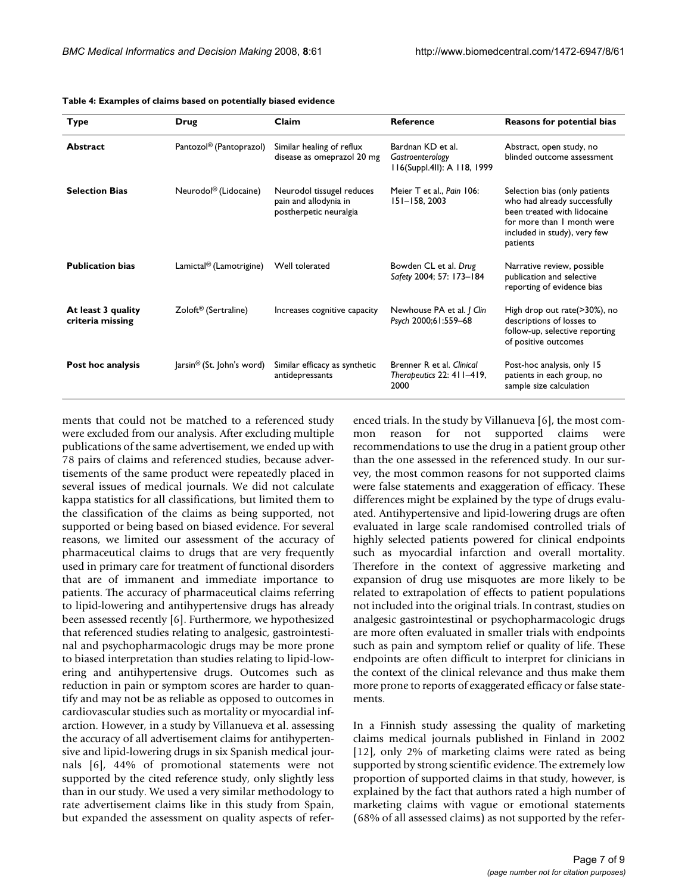| <b>Type</b>                            | Drug                                | Claim                                                                        | <b>Reference</b>                                                     | Reasons for potential bias                                                                                                                                             |
|----------------------------------------|-------------------------------------|------------------------------------------------------------------------------|----------------------------------------------------------------------|------------------------------------------------------------------------------------------------------------------------------------------------------------------------|
| <b>Abstract</b>                        | Pantozol <sup>®</sup> (Pantoprazol) | Similar healing of reflux<br>disease as omeprazol 20 mg                      | Bardnan KD et al.<br>Gastroenterology<br>116(Suppl.4II): A 118, 1999 | Abstract, open study, no<br>blinded outcome assessment                                                                                                                 |
| <b>Selection Bias</b>                  | Neurodol <sup>®</sup> (Lidocaine)   | Neurodol tissugel reduces<br>pain and allodynia in<br>postherpetic neuralgia | Meier T et al., Pain 106:<br>$151 - 158, 2003$                       | Selection bias (only patients<br>who had already successfully<br>been treated with lidocaine<br>for more than I month were<br>included in study), very few<br>patients |
| <b>Publication bias</b>                | Lamictal <sup>®</sup> (Lamotrigine) | Well tolerated                                                               | Bowden CL et al. Drug<br>Safety 2004; 57: 173-184                    | Narrative review, possible<br>publication and selective<br>reporting of evidence bias                                                                                  |
| At least 3 quality<br>criteria missing | Zoloft <sup>®</sup> (Sertraline)    | Increases cognitive capacity                                                 | Newhouse PA et al. J Clin<br>Psych 2000;61:559-68                    | High drop out rate(>30%), no<br>descriptions of losses to<br>follow-up, selective reporting<br>of positive outcomes                                                    |
| Post hoc analysis                      | $ arsin®$ (St. John's word)         | Similar efficacy as synthetic<br>antidepressants                             | Brenner R et al. Clinical<br>Therapeutics 22: 411-419,<br>2000       | Post-hoc analysis, only 15<br>patients in each group, no<br>sample size calculation                                                                                    |

| Table 4: Examples of claims based on potentially biased evidence |  |  |
|------------------------------------------------------------------|--|--|
|------------------------------------------------------------------|--|--|

ments that could not be matched to a referenced study were excluded from our analysis. After excluding multiple publications of the same advertisement, we ended up with 78 pairs of claims and referenced studies, because advertisements of the same product were repeatedly placed in several issues of medical journals. We did not calculate kappa statistics for all classifications, but limited them to the classification of the claims as being supported, not supported or being based on biased evidence. For several reasons, we limited our assessment of the accuracy of pharmaceutical claims to drugs that are very frequently used in primary care for treatment of functional disorders that are of immanent and immediate importance to patients. The accuracy of pharmaceutical claims referring to lipid-lowering and antihypertensive drugs has already been assessed recently [6]. Furthermore, we hypothesized that referenced studies relating to analgesic, gastrointestinal and psychopharmacologic drugs may be more prone to biased interpretation than studies relating to lipid-lowering and antihypertensive drugs. Outcomes such as reduction in pain or symptom scores are harder to quantify and may not be as reliable as opposed to outcomes in cardiovascular studies such as mortality or myocardial infarction. However, in a study by Villanueva et al. assessing the accuracy of all advertisement claims for antihypertensive and lipid-lowering drugs in six Spanish medical journals [6], 44% of promotional statements were not supported by the cited reference study, only slightly less than in our study. We used a very similar methodology to rate advertisement claims like in this study from Spain, but expanded the assessment on quality aspects of referenced trials. In the study by Villanueva [6], the most common reason for not supported claims were recommendations to use the drug in a patient group other than the one assessed in the referenced study. In our survey, the most common reasons for not supported claims were false statements and exaggeration of efficacy. These differences might be explained by the type of drugs evaluated. Antihypertensive and lipid-lowering drugs are often evaluated in large scale randomised controlled trials of highly selected patients powered for clinical endpoints such as myocardial infarction and overall mortality. Therefore in the context of aggressive marketing and expansion of drug use misquotes are more likely to be related to extrapolation of effects to patient populations not included into the original trials. In contrast, studies on analgesic gastrointestinal or psychopharmacologic drugs are more often evaluated in smaller trials with endpoints such as pain and symptom relief or quality of life. These endpoints are often difficult to interpret for clinicians in the context of the clinical relevance and thus make them more prone to reports of exaggerated efficacy or false statements.

In a Finnish study assessing the quality of marketing claims medical journals published in Finland in 2002 [12], only 2% of marketing claims were rated as being supported by strong scientific evidence. The extremely low proportion of supported claims in that study, however, is explained by the fact that authors rated a high number of marketing claims with vague or emotional statements (68% of all assessed claims) as not supported by the refer-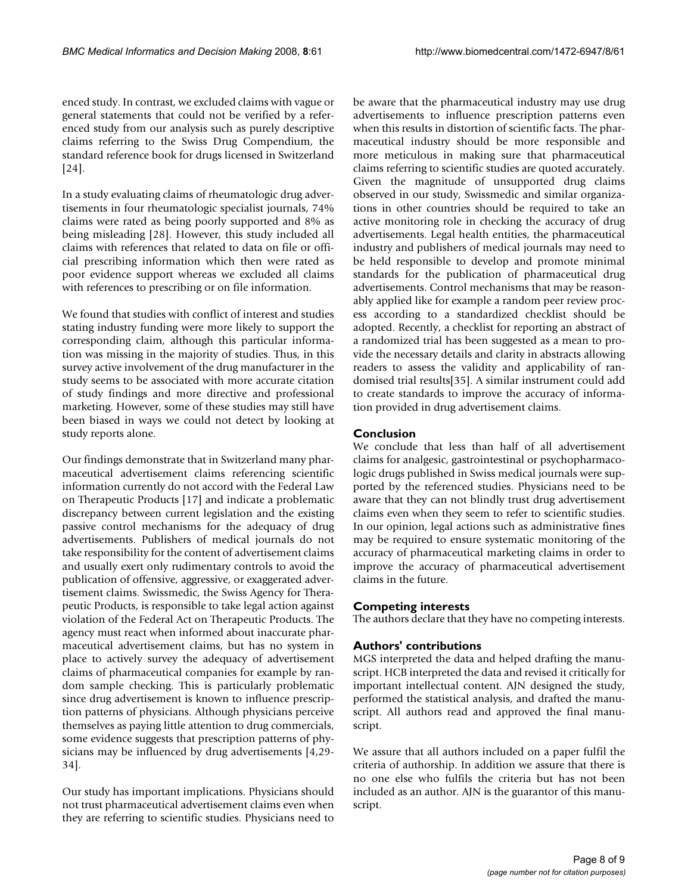enced study. In contrast, we excluded claims with vague or general statements that could not be verified by a referenced study from our analysis such as purely descriptive claims referring to the Swiss Drug Compendium, the standard reference book for drugs licensed in Switzerland [24].

In a study evaluating claims of rheumatologic drug advertisements in four rheumatologic specialist journals, 74% claims were rated as being poorly supported and 8% as being misleading [28]. However, this study included all claims with references that related to data on file or official prescribing information which then were rated as poor evidence support whereas we excluded all claims with references to prescribing or on file information.

We found that studies with conflict of interest and studies stating industry funding were more likely to support the corresponding claim, although this particular information was missing in the majority of studies. Thus, in this survey active involvement of the drug manufacturer in the study seems to be associated with more accurate citation of study findings and more directive and professional marketing. However, some of these studies may still have been biased in ways we could not detect by looking at study reports alone.

Our findings demonstrate that in Switzerland many pharmaceutical advertisement claims referencing scientific information currently do not accord with the Federal Law on Therapeutic Products [17] and indicate a problematic discrepancy between current legislation and the existing passive control mechanisms for the adequacy of drug advertisements. Publishers of medical journals do not take responsibility for the content of advertisement claims and usually exert only rudimentary controls to avoid the publication of offensive, aggressive, or exaggerated advertisement claims. Swissmedic, the Swiss Agency for Therapeutic Products, is responsible to take legal action against violation of the Federal Act on Therapeutic Products. The agency must react when informed about inaccurate pharmaceutical advertisement claims, but has no system in place to actively survey the adequacy of advertisement claims of pharmaceutical companies for example by random sample checking. This is particularly problematic since drug advertisement is known to influence prescription patterns of physicians. Although physicians perceive themselves as paying little attention to drug commercials, some evidence suggests that prescription patterns of physicians may be influenced by drug advertisements [4,29- 34].

Our study has important implications. Physicians should not trust pharmaceutical advertisement claims even when they are referring to scientific studies. Physicians need to

be aware that the pharmaceutical industry may use drug advertisements to influence prescription patterns even when this results in distortion of scientific facts. The pharmaceutical industry should be more responsible and more meticulous in making sure that pharmaceutical claims referring to scientific studies are quoted accurately. Given the magnitude of unsupported drug claims observed in our study, Swissmedic and similar organizations in other countries should be required to take an active monitoring role in checking the accuracy of drug advertisements. Legal health entities, the pharmaceutical industry and publishers of medical journals may need to be held responsible to develop and promote minimal standards for the publication of pharmaceutical drug advertisements. Control mechanisms that may be reasonably applied like for example a random peer review process according to a standardized checklist should be adopted. Recently, a checklist for reporting an abstract of a randomized trial has been suggested as a mean to provide the necessary details and clarity in abstracts allowing readers to assess the validity and applicability of randomised trial results[35]. A similar instrument could add to create standards to improve the accuracy of information provided in drug advertisement claims.

# **Conclusion**

We conclude that less than half of all advertisement claims for analgesic, gastrointestinal or psychopharmacologic drugs published in Swiss medical journals were supported by the referenced studies. Physicians need to be aware that they can not blindly trust drug advertisement claims even when they seem to refer to scientific studies. In our opinion, legal actions such as administrative fines may be required to ensure systematic monitoring of the accuracy of pharmaceutical marketing claims in order to improve the accuracy of pharmaceutical advertisement claims in the future.

# **Competing interests**

The authors declare that they have no competing interests.

# **Authors' contributions**

MGS interpreted the data and helped drafting the manuscript. HCB interpreted the data and revised it critically for important intellectual content. AJN designed the study, performed the statistical analysis, and drafted the manuscript. All authors read and approved the final manuscript.

We assure that all authors included on a paper fulfil the criteria of authorship. In addition we assure that there is no one else who fulfils the criteria but has not been included as an author. AJN is the guarantor of this manuscript.